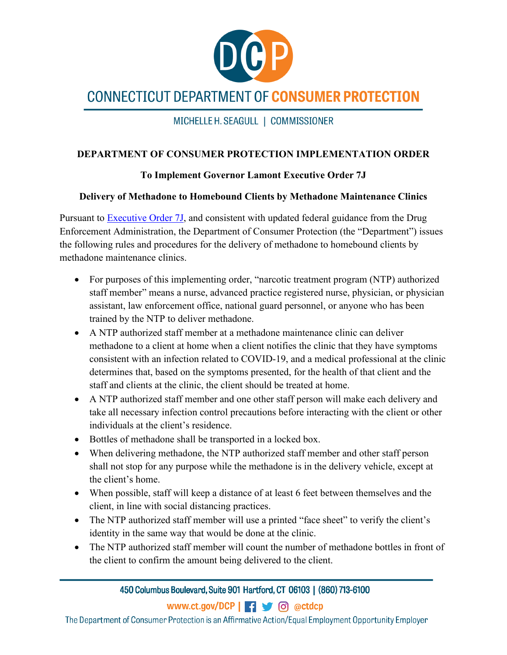

## **CONNECTICUT DEPARTMENT OF CONSUMER PROTECTION**

MICHELLE H. SEAGULL | COMMISSIONER

## **DEPARTMENT OF CONSUMER PROTECTION IMPLEMENTATION ORDER**

## **To Implement Governor Lamont Executive Order 7J**

## **Delivery of Methadone to Homebound Clients by Methadone Maintenance Clinics**

Pursuant to **Executive Order 7J**, and consistent with updated federal guidance from the Drug Enforcement Administration, the Department of Consumer Protection (the "Department") issues the following rules and procedures for the delivery of methadone to homebound clients by methadone maintenance clinics.

- For purposes of this implementing order, "narcotic treatment program (NTP) authorized staff member" means a nurse, advanced practice registered nurse, physician, or physician assistant, law enforcement office, national guard personnel, or anyone who has been trained by the NTP to deliver methadone.
- A NTP authorized staff member at a methadone maintenance clinic can deliver methadone to a client at home when a client notifies the clinic that they have symptoms consistent with an infection related to COVID-19, and a medical professional at the clinic determines that, based on the symptoms presented, for the health of that client and the staff and clients at the clinic, the client should be treated at home.
- A NTP authorized staff member and one other staff person will make each delivery and take all necessary infection control precautions before interacting with the client or other individuals at the client's residence.
- Bottles of methadone shall be transported in a locked box.
- When delivering methadone, the NTP authorized staff member and other staff person shall not stop for any purpose while the methadone is in the delivery vehicle, except at the client's home.
- When possible, staff will keep a distance of at least 6 feet between themselves and the client, in line with social distancing practices.
- The NTP authorized staff member will use a printed "face sheet" to verify the client's identity in the same way that would be done at the clinic.
- The NTP authorized staff member will count the number of methadone bottles in front of the client to confirm the amount being delivered to the client.

450 Columbus Boulevard, Suite 901 Hartford, CT 06103 | (860) 713-6100

www.ct.gov/DCP | - | 6 @ctdcp

The Department of Consumer Protection is an Affirmative Action/Equal Employment Opportunity Employer